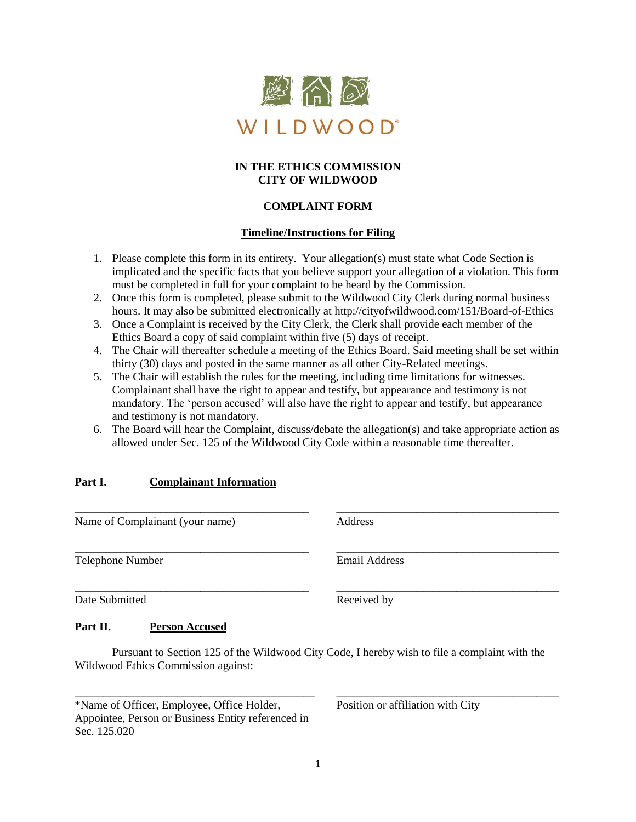

## **IN THE ETHICS COMMISSION CITY OF WILDWOOD**

# **COMPLAINT FORM**

## **Timeline/Instructions for Filing**

- 1. Please complete this form in its entirety. Your allegation(s) must state what Code Section is implicated and the specific facts that you believe support your allegation of a violation. This form must be completed in full for your complaint to be heard by the Commission.
- 2. Once this form is completed, please submit to the Wildwood City Clerk during normal business hours. It may also be submitted electronically at http://cityofwildwood.com/151/Board-of-Ethics
- 3. Once a Complaint is received by the City Clerk, the Clerk shall provide each member of the Ethics Board a copy of said complaint within five (5) days of receipt.
- 4. The Chair will thereafter schedule a meeting of the Ethics Board. Said meeting shall be set within thirty (30) days and posted in the same manner as all other City-Related meetings.
- 5. The Chair will establish the rules for the meeting, including time limitations for witnesses. Complainant shall have the right to appear and testify, but appearance and testimony is not mandatory. The 'person accused' will also have the right to appear and testify, but appearance and testimony is not mandatory.

\_\_\_\_\_\_\_\_\_\_\_\_\_\_\_\_\_\_\_\_\_\_\_\_\_\_\_\_\_\_\_\_\_\_\_\_\_\_\_\_\_ \_\_\_\_\_\_\_\_\_\_\_\_\_\_\_\_\_\_\_\_\_\_\_\_\_\_\_\_\_\_\_\_\_\_\_\_\_\_\_

\_\_\_\_\_\_\_\_\_\_\_\_\_\_\_\_\_\_\_\_\_\_\_\_\_\_\_\_\_\_\_\_\_\_\_\_\_\_\_\_\_ \_\_\_\_\_\_\_\_\_\_\_\_\_\_\_\_\_\_\_\_\_\_\_\_\_\_\_\_\_\_\_\_\_\_\_\_\_\_\_

6. The Board will hear the Complaint, discuss/debate the allegation(s) and take appropriate action as allowed under Sec. 125 of the Wildwood City Code within a reasonable time thereafter.

#### **Part I. Complainant Information**

Name of Complainant (your name) Address

Telephone Number Email Address

Date Submitted Received by

\_\_\_\_\_\_\_\_\_\_\_\_\_\_\_\_\_\_\_\_\_\_\_\_\_\_\_\_\_\_\_\_\_\_\_\_\_\_\_\_\_ \_\_\_\_\_\_\_\_\_\_\_\_\_\_\_\_\_\_\_\_\_\_\_\_\_\_\_\_\_\_\_\_\_\_\_\_\_\_\_

#### **Part II. Person Accused**

Pursuant to Section 125 of the Wildwood City Code, I hereby wish to file a complaint with the Wildwood Ethics Commission against:

\_\_\_\_\_\_\_\_\_\_\_\_\_\_\_\_\_\_\_\_\_\_\_\_\_\_\_\_\_\_\_\_\_\_\_\_\_\_\_\_\_\_ \_\_\_\_\_\_\_\_\_\_\_\_\_\_\_\_\_\_\_\_\_\_\_\_\_\_\_\_\_\_\_\_\_\_\_\_\_\_\_

\*Name of Officer, Employee, Office Holder, Position or affiliation with City Appointee, Person or Business Entity referenced in Sec. 125.020